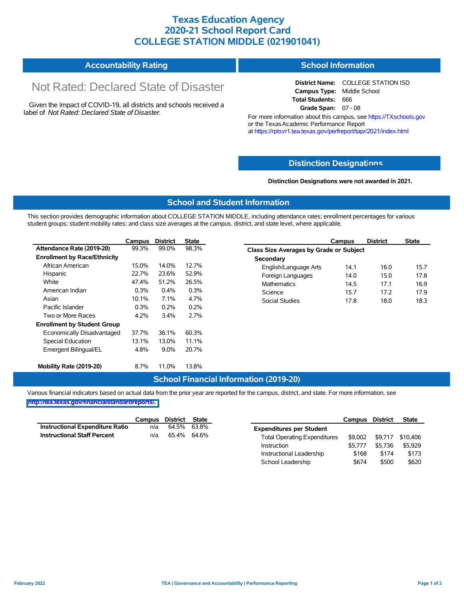## **Texas Education Agency 2020-21 School Report Card COLLEGE STATION MIDDLE (021901041)**

#### **Accountability Rating School Information**

# Not Rated: Declared State of Disaster

Given the Impact of COVID-19, all districts and schools received a label of *Not Rated: Declared State of Disaster.*

#### **District Name:** COLLEGE STATION ISD **Campus Type:** Middle School **Total Students:** 666 **Grade Span:** 07 - 08

For more information about this campus, see https://TXschools.gov or the Texas Academic Performance Report at https://rptsvr1.tea.texas.gov/perfreport/tapr/2021/index.html

### **Distinction Designat[ions](https://TXschools.gov)**

**Distinction Designations were not awarded in 2021.**

School Leadership  $$674$  \$500 \$620

#### **School and Student Information**

This section provides demographic information about COLLEGE STATION MIDDLE, including attendance rates; enrollment percentages for various student groups; student mobility rates; and class size averages at the campus, district, and state level, where applicable.

|                                     | Campus | <b>District</b> | <b>State</b> | Campus                                         | <b>District</b> | <b>State</b> |  |  |  |  |  |
|-------------------------------------|--------|-----------------|--------------|------------------------------------------------|-----------------|--------------|--|--|--|--|--|
| Attendance Rate (2019-20)           | 99.3%  | 99.0%           | 98.3%        | <b>Class Size Averages by Grade or Subject</b> |                 |              |  |  |  |  |  |
| <b>Enrollment by Race/Ethnicity</b> |        |                 |              | Secondary                                      |                 |              |  |  |  |  |  |
| African American                    | 15.0%  | 14.0%           | 12.7%        | English/Language Arts<br>14.1                  | 16.0            | 15.7         |  |  |  |  |  |
| Hispanic                            | 22.7%  | 23.6%           | 52.9%        | Foreign Languages<br>14.0                      | 15.0            | 17.8         |  |  |  |  |  |
| White                               | 47.4%  | 51.2%           | 26.5%        | <b>Mathematics</b><br>14.5                     | 17.1            | 16.9         |  |  |  |  |  |
| American Indian                     | 0.3%   | $0.4\%$         | 0.3%         | Science<br>15.7                                | 17.2            | 17.9         |  |  |  |  |  |
| Asian                               | 10.1%  | 7.1%            | 4.7%         | <b>Social Studies</b><br>17.8                  | 18.0            | 18.3         |  |  |  |  |  |
| Pacific Islander                    | 0.3%   | 0.2%            | 0.2%         |                                                |                 |              |  |  |  |  |  |
| Two or More Races                   | 4.2%   | 3.4%            | 2.7%         |                                                |                 |              |  |  |  |  |  |
| <b>Enrollment by Student Group</b>  |        |                 |              |                                                |                 |              |  |  |  |  |  |
| Economically Disadvantaged          | 37.7%  | 36.1%           | 60.3%        |                                                |                 |              |  |  |  |  |  |
| Special Education                   | 13.1%  | 13.0%           | 11.1%        |                                                |                 |              |  |  |  |  |  |
| Emergent Bilingual/EL               | 4.8%   | $9.0\%$         | 20.7%        |                                                |                 |              |  |  |  |  |  |
| Mobility Rate (2019-20)             | 8.7%   | 11.0%           | 13.8%        |                                                |                 |              |  |  |  |  |  |

#### **School Financial Information (2019-20)**

Various financial indicators based on actual data from the prior year are reported for the campus, district, and state. For more information, see

**[http://tea.texas.gov/financialstandardreports/.](http://tea.texas.gov/financialstandardreports/)**

|                                        | Campus | District | <b>State</b> |                                     | Campus  | <b>District</b> | <b>State</b> |
|----------------------------------------|--------|----------|--------------|-------------------------------------|---------|-----------------|--------------|
| <b>Instructional Expenditure Ratio</b> | n/a    | 64.5%    | 63.8%        | <b>Expenditures per Student</b>     |         |                 |              |
| <b>Instructional Staff Percent</b>     | n/a    | 65.4%    | 64.6%        | <b>Total Operating Expenditures</b> | \$9.002 | \$9.717         | \$10,406     |
|                                        |        |          |              | Instruction                         | \$5.777 | \$5.736         | \$5,929      |
|                                        |        |          |              | Instructional Leadership            | \$168   | \$174           | \$173        |